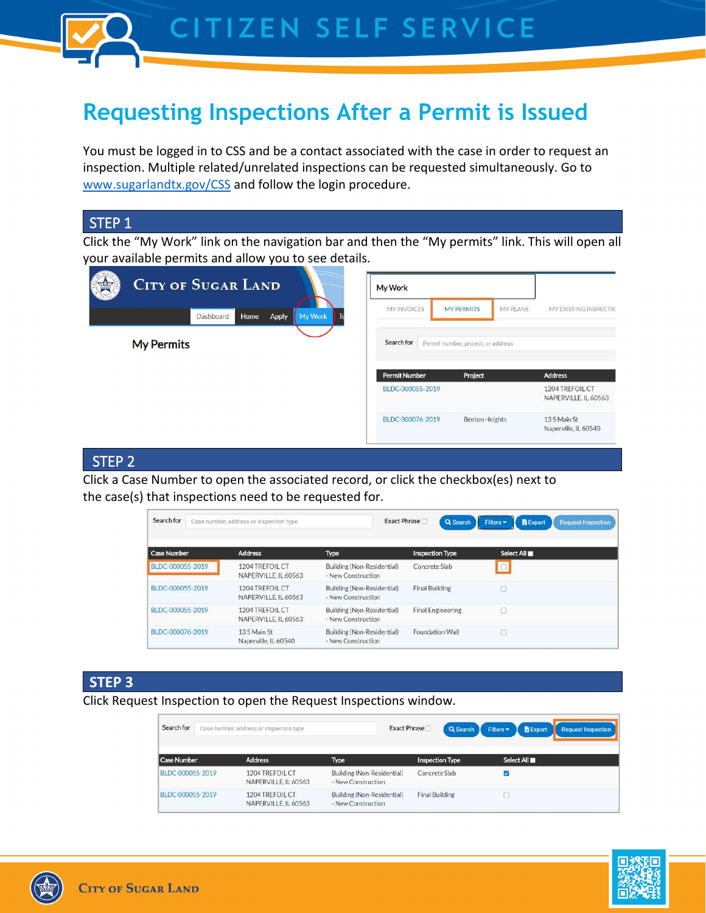

# **Requesting Inspections After a Permit is Issued**

You must be logged in to CSS and be a contact associated with the case in order to request an inspection. Multiple related/unrelated inspections can be requested simultaneously. Go to [www.sugarlandtx.gov/CSS](http://www.sugarlandtx.gov/CSS) and follow the login procedure.

## STEP 1

Click the "My Work" link on the navigation bar and then the "My permits" link. This will open all your available permits and allow you to see details.

| <b>CITY OF SUGAR LAND</b> |                        | My Work              |                                    |                                         |
|---------------------------|------------------------|----------------------|------------------------------------|-----------------------------------------|
| Home<br>Dashboard         | My Work<br>To<br>Apply | <b>MY INVOICES</b>   | MY PLANS<br><b>MY PERMITS</b>      | MY EXISTING INSPECTIC                   |
| <b>My Permits</b>         |                        | Search for           | Permit number, project, or address |                                         |
|                           |                        | <b>Permit Number</b> | Project                            | <b>Address</b>                          |
|                           |                        | BLDC-000055-2019     |                                    | 1204 TREFOIL CT<br>NAPERVILLE, IL 60563 |
|                           |                        | BLDC-000076-2019     | Benton Heights                     | 13 S Main St<br>Naperville, IL 60540    |

### STEP 2

Click a Case Number to open the associated record, or click the checkbox(es) next to the case(s) that inspections need to be requested for.

| Search for         | Case number, address or inspection type |                                                  | Exact Phrase<br>Q Search | <b>B</b> Export<br>Filters <b>v</b><br><b>Request Inspection</b> |
|--------------------|-----------------------------------------|--------------------------------------------------|--------------------------|------------------------------------------------------------------|
| <b>Case Number</b> | <b>Address</b>                          | <b>Type</b>                                      | <b>Inspection Type</b>   | Select All                                                       |
| BLDC-000055-2019   | 1204 TREFOIL CT<br>NAPERVILLE. IL 60563 | Building (Non-Residential)<br>- New Construction | Concrete Slab            | $\Box$                                                           |
| BLDC-000055-2019   | 1204 TREFOIL CT<br>NAPERVILLE, IL 60563 | Building (Non-Residential)<br>- New Construction | <b>Final Building</b>    | L                                                                |
| BLDC-000055-2019   | 1204 TREFOIL CT<br>NAPERVILLE, IL 60563 | Building (Non-Residential)<br>- New Construction | <b>Final Engineering</b> | г                                                                |
| BLDC-000076-2019   | 13 S Main St<br>Naperville, IL 60540    | Building (Non-Residential)<br>- New Construction | <b>Foundation Wall</b>   | c                                                                |

## **STEP 3**

Click Request Inspection to open the Request Inspections window.

| Search for         | Case number, address or inspection type        |                                                  | Exact Phrase<br>Q Search | Filters <b>v</b><br><b>B</b> Export<br><b>Request Inspection</b> |
|--------------------|------------------------------------------------|--------------------------------------------------|--------------------------|------------------------------------------------------------------|
| <b>Case Number</b> | <b>Address</b>                                 | <b>Type</b>                                      | <b>Inspection Type</b>   | Select All                                                       |
| BLDC-000055-2019   | 1204 TREFOIL CT<br>NAPERVILLE, IL 60563        | Building (Non-Residential)<br>- New Construction | Concrete Slab            | ᢦ                                                                |
| BLDC-000055-2019   | <b>1204 TREFOIL CT</b><br>NAPERVILLE, IL 60563 | Building (Non-Residential)<br>- New Construction | <b>Final Building</b>    |                                                                  |

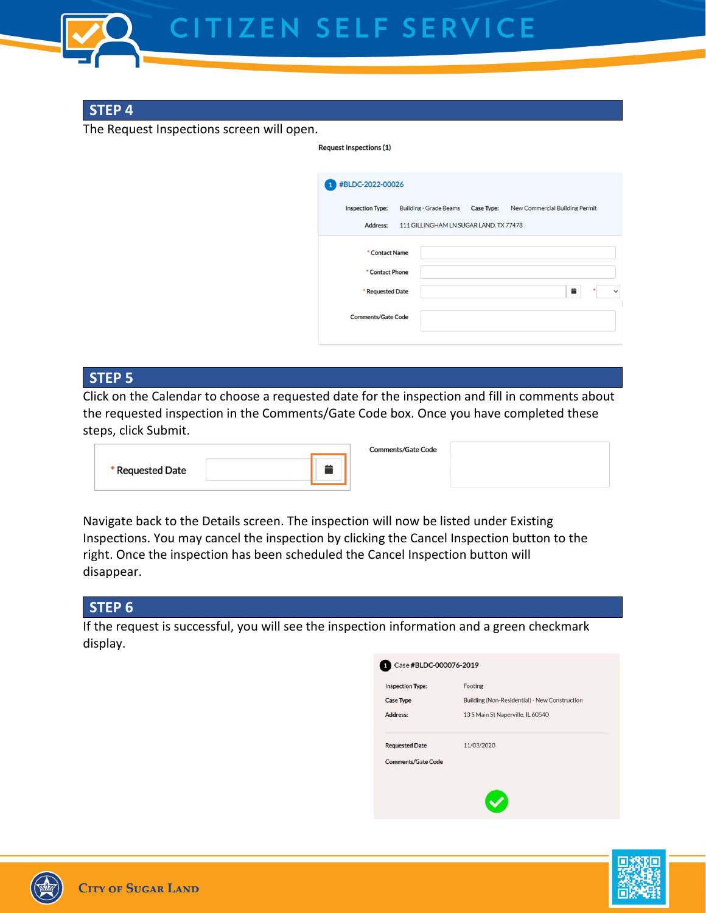

## **STEP 4**

The Request Inspections screen will open.

| #BLDC-2022-00026          |                                        |                                |
|---------------------------|----------------------------------------|--------------------------------|
| <b>Inspection Type:</b>   | Building - Grade Beams Case Type:      | New Commercial Building Permit |
| Address:                  | 111 GILLINGHAM LN SUGAR LAND, TX 77478 |                                |
| * Contact Name            |                                        |                                |
| * Contact Phone           |                                        |                                |
| * Requested Date          |                                        | 昔                              |
| <b>Comments/Gate Code</b> |                                        |                                |

## **STEP 5**

Click on the Calendar to choose a requested date for the inspection and fill in comments about the requested inspection in the Comments/Gate Code box. Once you have completed these steps, click Submit.

**Dequest Inconstigue (1)** 

|                  | <b>Comments/Gate Code</b> |  |
|------------------|---------------------------|--|
| * Requested Date |                           |  |

Navigate back to the Details screen. The inspection will now be listed under Existing Inspections. You may cancel the inspection by clicking the Cancel Inspection button to the right. Once the inspection has been scheduled the Cancel Inspection button will disappear.

## **STEP 6**

If the request is successful, you will see the inspection information and a green checkmark display.

| <b>Inspection Type:</b>   | Footing                                       |
|---------------------------|-----------------------------------------------|
| <b>Case Type</b>          | Building (Non-Residential) - New Construction |
| Address:                  | 13 S Main St Naperville, IL 60540             |
| <b>Requested Date</b>     | 11/03/2020                                    |
| <b>Comments/Gate Code</b> |                                               |
|                           |                                               |